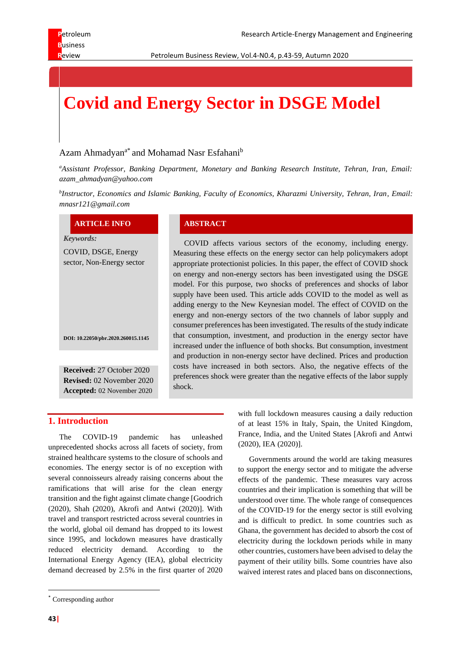**R**eview Petroleum Business Review, Vol.4-N0.4, p.43-59, Autumn 2020

# **Covid and Energy Sector in DSGE Model**

# Azam Ahmadyan<sup>a\*</sup> and Mohamad Nasr Esfahani<sup>b</sup>

*<sup>a</sup>Assistant Professor, Banking Department, Monetary and Banking Research Institute, Tehran, Iran, Email: azam\_ahmadyan@yahoo.com*

*b Instructor, Economics and Islamic Banking, Faculty of Economics, Kharazmi University, Tehran, Iran, Email: mnasr121@gmail.com*

**ARTICLE INFO ABSTRACT**

#### *Keywords:*

COVID, DSGE, Energy sector, Non-Energy sector

**DOI: 10.22050/pbr.2020.260015.1145**

**Received:** 27 October 2020 **Revised:** 02 November 2020 **Accepted:** 02 November 2020

COVID affects various sectors of the economy, including energy. Measuring these effects on the energy sector can help policymakers adopt appropriate protectionist policies. In this paper, the effect of COVID shock on energy and non-energy sectors has been investigated using the DSGE model. For this purpose, two shocks of preferences and shocks of labor supply have been used. This article adds COVID to the model as well as adding energy to the New Keynesian model. The effect of COVID on the energy and non-energy sectors of the two channels of labor supply and consumer preferences has been investigated. The results of the study indicate that consumption, investment, and production in the energy sector have increased under the influence of both shocks. But consumption, investment and production in non-energy sector have declined. Prices and production costs have increased in both sectors. Also, the negative effects of the preferences shock were greater than the negative effects of the labor supply shock.

# **1. Introduction**

The COVID-19 pandemic has unleashed unprecedented shocks across all facets of society, from strained healthcare systems to the closure of schools and economies. The energy sector is of no exception with several connoisseurs already raising concerns about the ramifications that will arise for the clean energy transition and the fight against climate change [Goodrich (2020), Shah (2020), Akrofi and Antwi (2020)]. With travel and transport restricted across several countries in the world, global oil demand has dropped to its lowest since 1995, and lockdown measures have drastically reduced electricity demand. According to the International Energy Agency (IEA), global electricity demand decreased by 2.5% in the first quarter of 2020

with full lockdown measures causing a daily reduction of at least 15% in Italy, Spain, the United Kingdom, France, India, and the United States [Akrofi and Antwi (2020), IEA (2020)].

Governments around the world are taking measures to support the energy sector and to mitigate the adverse effects of the pandemic. These measures vary across countries and their implication is something that will be understood over time. The whole range of consequences of the COVID-19 for the energy sector is still evolving and is difficult to predict. In some countries such as Ghana, the government has decided to absorb the cost of electricity during the lockdown periods while in many other countries, customers have been advised to delay the payment of their utility bills. Some countries have also waived interest rates and placed bans on disconnections,

<sup>\*</sup> Corresponding author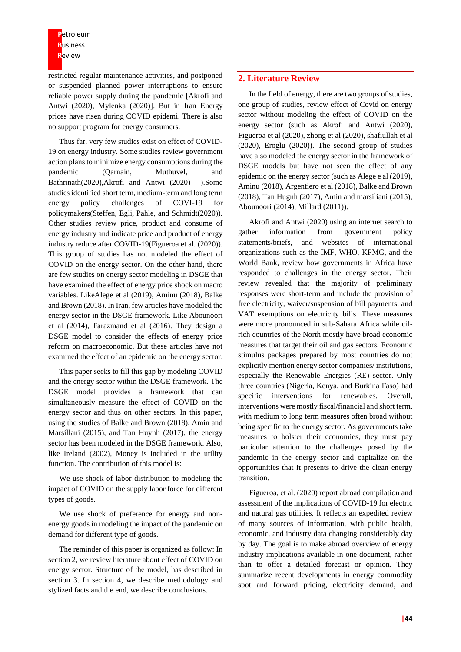**P**etroleum **B**usiness **R**eview

restricted regular maintenance activities, and postponed or suspended planned power interruptions to ensure reliable power supply during the pandemic [Akrofi and Antwi (2020), Mylenka (2020)]. But in Iran Energy prices have risen during COVID epidemi. There is also no support program for energy consumers.

Thus far, very few studies exist on effect of COVID-19 on energy industry. Some studies review government action plans to minimize energy consumptions during the pandemic (Qarnain, Muthuvel, and Bathrinath(2020),Akrofi and Antwi (2020) ).Some studies identified short term, medium-term and long term energy policy challenges of COVI-19 for policymakers(Steffen, Egli, Pahle, and Schmidt(2020)). Other studies review price, product and consume of energy industry and indicate price and product of energy industry reduce after COVID-19(Figueroa et al. (2020)). This group of studies has not modeled the effect of COVID on the energy sector. On the other hand, there are few studies on energy sector modeling in DSGE that have examined the effect of energy price shock on macro variables. LikeAlege et al (2019), Aminu (2018), Balke and Brown (2018). In Iran, few articles have modeled the energy sector in the DSGE framework. Like Abounoori et al (2014), Farazmand et al (2016). They design a DSGE model to consider the effects of energy price reform on macroeconomic. But these articles have not examined the effect of an epidemic on the energy sector.

This paper seeks to fill this gap by modeling COVID and the energy sector within the DSGE framework. The DSGE model provides a framework that can simultaneously measure the effect of COVID on the energy sector and thus on other sectors. In this paper, using the studies of Balke and Brown (2018), Amin and Marsillani (2015), and Tan Huynh (2017), the energy sector has been modeled in the DSGE framework. Also, like Ireland (2002), Money is included in the utility function. The contribution of this model is:

We use shock of labor distribution to modeling the impact of COVID on the supply labor force for different types of goods.

We use shock of preference for energy and nonenergy goods in modeling the impact of the pandemic on demand for different type of goods.

The reminder of this paper is organized as follow: In section 2, we review literature about effect of COVID on energy sector. Structure of the model, has described in section 3. In section 4, we describe methodology and stylized facts and the end, we describe conclusions.

# **2. Literature Review**

In the field of energy, there are two groups of studies, one group of studies, review effect of Covid on energy sector without modeling the effect of COVID on the energy sector (such as Akrofi and Antwi (2020), Figueroa et al (2020), zhong et al (2020), shafiullah et al (2020), Eroglu (2020)). The second group of studies have also modeled the energy sector in the framework of DSGE models but have not seen the effect of any epidemic on the energy sector (such as Alege e al (2019), Aminu (2018), Argentiero et al (2018), Balke and Brown (2018), Tan Hugnh (2017), Amin and marsiliani (2015), Abounoori (2014), Millard (2011)).

Akrofi and Antwi (2020) using an internet search to gather information from government policy statements/briefs, and websites of international organizations such as the IMF, WHO, KPMG, and the World Bank, review how governments in Africa have responded to challenges in the energy sector. Their review revealed that the majority of preliminary responses were short-term and include the provision of free electricity, waiver/suspension of bill payments, and VAT exemptions on electricity bills. These measures were more pronounced in sub-Sahara Africa while oilrich countries of the North mostly have broad economic measures that target their oil and gas sectors. Economic stimulus packages prepared by most countries do not explicitly mention energy sector companies/ institutions, especially the Renewable Energies (RE) sector. Only three countries (Nigeria, Kenya, and Burkina Faso) had specific interventions for renewables. Overall, interventions were mostly fiscal/financial and short term, with medium to long term measures often broad without being specific to the energy sector. As governments take measures to bolster their economies, they must pay particular attention to the challenges posed by the pandemic in the energy sector and capitalize on the opportunities that it presents to drive the clean energy transition.

Figueroa, et al. (2020) report abroad compilation and assessment of the implications of COVID-19 for electric and natural gas utilities. It reflects an expedited review of many sources of information, with public health, economic, and industry data changing considerably day by day. The goal is to make abroad overview of energy industry implications available in one document, rather than to offer a detailed forecast or opinion. They summarize recent developments in energy commodity spot and forward pricing, electricity demand, and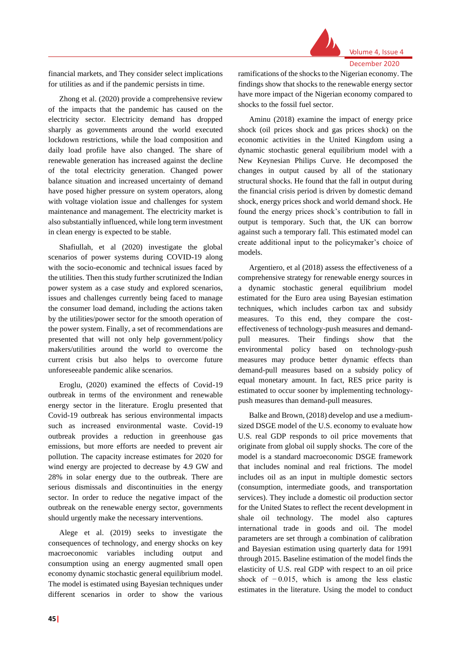

Volume 4, Issue 4 December 2020

financial markets, and They consider select implications for utilities as and if the pandemic persists in time.

Zhong et al. (2020) provide a comprehensive review of the impacts that the pandemic has caused on the electricity sector. Electricity demand has dropped sharply as governments around the world executed lockdown restrictions, while the load composition and daily load profile have also changed. The share of renewable generation has increased against the decline of the total electricity generation. Changed power balance situation and increased uncertainty of demand have posed higher pressure on system operators, along with voltage violation issue and challenges for system maintenance and management. The electricity market is also substantially influenced, while long term investment in clean energy is expected to be stable.

Shafiullah, et al (2020) investigate the global scenarios of power systems during COVID-19 along with the socio-economic and technical issues faced by the utilities. Then this study further scrutinized the Indian power system as a case study and explored scenarios, issues and challenges currently being faced to manage the consumer load demand, including the actions taken by the utilities/power sector for the smooth operation of the power system. Finally, a set of recommendations are presented that will not only help government/policy makers/utilities around the world to overcome the current crisis but also helps to overcome future unforeseeable pandemic alike scenarios.

Eroglu, (2020) examined the effects of Covid-19 outbreak in terms of the environment and renewable energy sector in the literature. Eroglu presented that Covid-19 outbreak has serious environmental impacts such as increased environmental waste. Covid-19 outbreak provides a reduction in greenhouse gas emissions, but more efforts are needed to prevent air pollution. The capacity increase estimates for 2020 for wind energy are projected to decrease by 4.9 GW and 28% in solar energy due to the outbreak. There are serious dismissals and discontinuities in the energy sector. In order to reduce the negative impact of the outbreak on the renewable energy sector, governments should urgently make the necessary interventions.

Alege et al. (2019) seeks to investigate the consequences of technology, and energy shocks on key macroeconomic variables including output and consumption using an energy augmented small open economy dynamic stochastic general equilibrium model. The model is estimated using Bayesian techniques under different scenarios in order to show the various ramifications of the shocks to the Nigerian economy. The findings show that shocks to the renewable energy sector have more impact of the Nigerian economy compared to shocks to the fossil fuel sector.

Aminu (2018) examine the impact of energy price shock (oil prices shock and gas prices shock) on the economic activities in the United Kingdom using a dynamic stochastic general equilibrium model with a New Keynesian Philips Curve. He decomposed the changes in output caused by all of the stationary structural shocks. He found that the fall in output during the financial crisis period is driven by domestic demand shock, energy prices shock and world demand shock. He found the energy prices shock's contribution to fall in output is temporary. Such that, the UK can borrow against such a temporary fall. This estimated model can create additional input to the policymaker's choice of models.

Argentiero, et al (2018) assess the effectiveness of a comprehensive strategy for renewable energy sources in a dynamic stochastic general equilibrium model estimated for the Euro area using Bayesian estimation techniques, which includes carbon tax and subsidy measures. To this end, they compare the costeffectiveness of technology-push measures and demandpull measures. Their findings show that the environmental policy based on technology-push measures may produce better dynamic effects than demand-pull measures based on a subsidy policy of equal monetary amount. In fact, RES price parity is estimated to occur sooner by implementing technologypush measures than demand-pull measures.

Balke and Brown, (2018) develop and use a mediumsized DSGE model of the U.S. economy to evaluate how U.S. real GDP responds to oil price movements that originate from global oil supply shocks. The core of the model is a standard macroeconomic DSGE framework that includes nominal and real frictions. The model includes oil as an input in multiple domestic sectors (consumption, intermediate goods, and transportation services). They include a domestic oil production sector for the United States to reflect the recent development in shale oil technology. The model also captures international trade in goods and oil. The model parameters are set through a combination of calibration and Bayesian estimation using quarterly data for 1991 through 2015. Baseline estimation of the model finds the elasticity of U.S. real GDP with respect to an oil price shock of  $-0.015$ , which is among the less elastic estimates in the literature. Using the model to conduct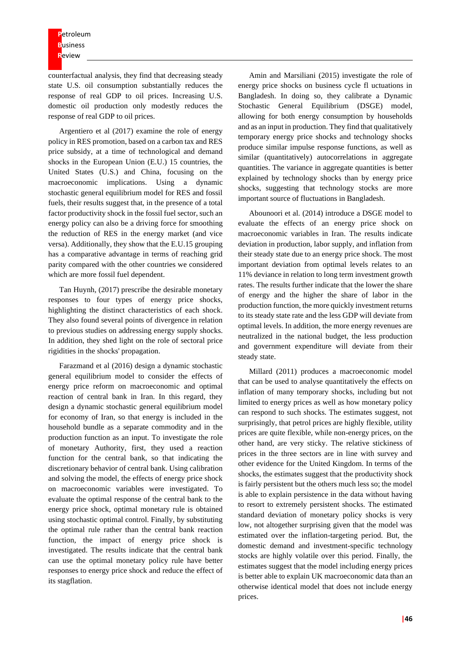**P**etroleum **B**usiness **R**eview

counterfactual analysis, they find that decreasing steady state U.S. oil consumption substantially reduces the response of real GDP to oil prices. Increasing U.S. domestic oil production only modestly reduces the response of real GDP to oil prices.

Argentiero et al (2017) examine the role of energy policy in RES promotion, based on a carbon tax and RES price subsidy, at a time of technological and demand shocks in the European Union (E.U.) 15 countries, the United States (U.S.) and China, focusing on the macroeconomic implications. Using a dynamic stochastic general equilibrium model for RES and fossil fuels, their results suggest that, in the presence of a total factor productivity shock in the fossil fuel sector, such an energy policy can also be a driving force for smoothing the reduction of RES in the energy market (and vice versa). Additionally, they show that the E.U.15 grouping has a comparative advantage in terms of reaching grid parity compared with the other countries we considered which are more fossil fuel dependent.

Tan Huynh, (2017) prescribe the desirable monetary responses to four types of energy price shocks, highlighting the distinct characteristics of each shock. They also found several points of divergence in relation to previous studies on addressing energy supply shocks. In addition, they shed light on the role of sectoral price rigidities in the shocks' propagation.

Farazmand et al (2016) design a dynamic stochastic general equilibrium model to consider the effects of energy price reform on macroeconomic and optimal reaction of central bank in Iran. In this regard, they design a dynamic stochastic general equilibrium model for economy of Iran, so that energy is included in the household bundle as a separate commodity and in the production function as an input. To investigate the role of monetary Authority, first, they used a reaction function for the central bank, so that indicating the discretionary behavior of central bank. Using calibration and solving the model, the effects of energy price shock on macroeconomic variables were investigated. To evaluate the optimal response of the central bank to the energy price shock, optimal monetary rule is obtained using stochastic optimal control. Finally, by substituting the optimal rule rather than the central bank reaction function, the impact of energy price shock is investigated. The results indicate that the central bank can use the optimal monetary policy rule have better responses to energy price shock and reduce the effect of its stagflation.

Amin and Marsiliani (2015) investigate the role of energy price shocks on business cycle fl uctuations in Bangladesh. In doing so, they calibrate a Dynamic Stochastic General Equilibrium (DSGE) model, allowing for both energy consumption by households and as an input in production. They find that qualitatively temporary energy price shocks and technology shocks produce similar impulse response functions, as well as similar (quantitatively) autocorrelations in aggregate quantities. The variance in aggregate quantities is better explained by technology shocks than by energy price shocks, suggesting that technology stocks are more important source of fluctuations in Bangladesh.

Abounoori et al. (2014) introduce a DSGE model to evaluate the effects of an energy price shock on macroeconomic variables in Iran. The results indicate deviation in production, labor supply, and inflation from their steady state due to an energy price shock. The most important deviation from optimal levels relates to an 11% deviance in relation to long term investment growth rates. The results further indicate that the lower the share of energy and the higher the share of labor in the production function, the more quickly investment returns to its steady state rate and the less GDP will deviate from optimal levels. In addition, the more energy revenues are neutralized in the national budget, the less production and government expenditure will deviate from their steady state.

Millard (2011) produces a macroeconomic model that can be used to analyse quantitatively the effects on inflation of many temporary shocks, including but not limited to energy prices as well as how monetary policy can respond to such shocks. The estimates suggest, not surprisingly, that petrol prices are highly flexible, utility prices are quite flexible, while non-energy prices, on the other hand, are very sticky. The relative stickiness of prices in the three sectors are in line with survey and other evidence for the United Kingdom. In terms of the shocks, the estimates suggest that the productivity shock is fairly persistent but the others much less so; the model is able to explain persistence in the data without having to resort to extremely persistent shocks. The estimated standard deviation of monetary policy shocks is very low, not altogether surprising given that the model was estimated over the inflation-targeting period. But, the domestic demand and investment-specific technology stocks are highly volatile over this period. Finally, the estimates suggest that the model including energy prices is better able to explain UK macroeconomic data than an otherwise identical model that does not include energy prices.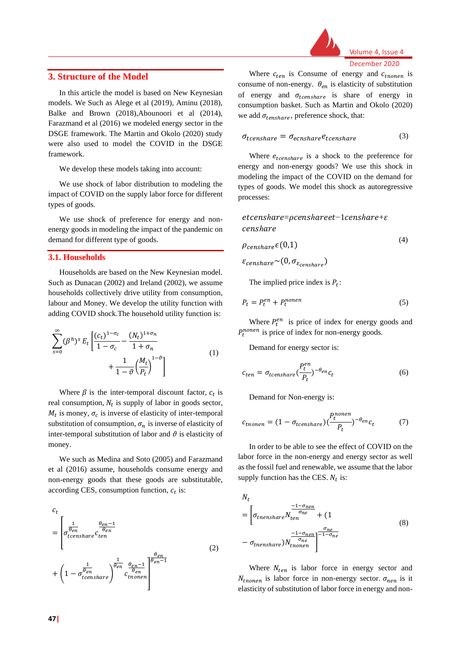# **3. Structure of the Model**

In this article the model is based on New Keynesian models. We Such as Alege et al (2019), Aminu (2018), Balke and Brown (2018),Abounoori et al (2014), Farazmand et al (2016) we modeled energy sector in the DSGE framework. The Martin and Okolo (2020) study were also used to model the COVID in the DSGE framework.

We develop these models taking into account:

We use shock of labor distribution to modeling the impact of COVID on the supply labor force for different types of goods.

We use shock of preference for energy and nonenergy goods in modeling the impact of the pandemic on demand for different type of goods.

# **3.1. Households**

Households are based on the New Keynesian model. Such as Dunacan (2002) and Ireland (2002), we assume households collectively drive utility from consumption, labour and Money. We develop the utility function with adding COVID shock.The household utility function is:

$$
\sum_{s=0}^{\infty} (\beta^h)^s E_t \left[ \frac{(c_t)^{1-\sigma_c}}{1-\sigma_c} - \frac{(N_t)^{1+\sigma_n}}{1+\sigma_n} + \frac{1}{1-\vartheta} \left( \frac{M_t}{P_t} \right)^{1-\vartheta} \right]
$$
\n(1)

Where  $\beta$  is the inter-temporal discount factor,  $c_t$  is real consumption,  $N_t$  is supply of labor in goods sector,  $M_t$  is money,  $\sigma_c$  is inverse of elasticity of inter-temporal substitution of consumption,  $\sigma_n$  is inverse of elasticity of inter-temporal substitution of labor and  $\vartheta$  is elasticity of money.

We such as Medina and Soto (2005) and Farazmand et al (2016) assume, households consume energy and non-energy goods that these goods are substitutable, according CES, consumption function,  $c_t$  is:

$$
c_{t}
$$
\n
$$
= \left[ \sigma \frac{\frac{1}{\theta_{en}}}{\theta_{tenshare}} \frac{\frac{\theta_{en}-1}{\theta_{en}}}{t_{tenshare}} \right]
$$
\n
$$
+ \left( 1 - \sigma \frac{\frac{1}{\theta_{en}}}{t_{censhare}} \right)^{\frac{1}{\theta_{en}}} \frac{\theta_{en}-1}{\theta_{ten}} \right]^{\frac{\theta_{en}}{\theta_{en}-1}}
$$
\n
$$
(2)
$$



Volume 4, Issue 4 December 2020

Where  $c_{ten}$  is Consume of energy and  $c_{tnonen}$  is consume of non-energy.  $\theta_{en}$  is elasticity of substitution of energy and  $\sigma_{tcenshare}$  is share of energy in consumption basket. Such as Martin and Okolo (2020) we add  $\sigma_{tenshare}$ , preference shock, that:

$$
\sigma_{tcenshare} = \sigma_{ecnshare} e_{tcenshare} \tag{3}
$$

Where  $e_{tcenshare}$  is a shock to the preference for energy and non-energy goods? We use this shock in modeling the impact of the COVID on the demand for types of goods. We model this shock as autoregressive processes:

 $etcenshare=pcenshareet-1censhare+\varepsilon$ censhare

$$
\rho_{censhare} \epsilon(0,1)
$$
\n
$$
\epsilon_{censhare} \sim (0, \sigma_{\epsilon_{censhare}})
$$
\n(4)

The implied price index is  $P_t$ :

$$
P_t = P_t^{en} + P_t^{nonen} \tag{5}
$$

Where  $P_t^{en}$  is price of index for energy goods and  $P_t^{nonen}$  is price of index for non-energy goods.

Demand for energy sector is:

$$
c_{ten} = \sigma_{tcenshare} \left(\frac{P_t^{en}}{P_t}\right)^{-\theta_{en}} c_t \tag{6}
$$

Demand for Non-energy is:

$$
c_{tononen} = (1 - \sigma_{tcenshare}) \left(\frac{P_t^{nonen}}{P_t}\right)^{-\theta_{en}} c_t \tag{7}
$$

In order to be able to see the effect of COVID on the labor force in the non-energy and energy sector as well as the fossil fuel and renewable, we assume that the labor supply function has the CES.  $N_t$  is:

$$
N_t
$$
\n
$$
= \left[ \sigma_{tnenshare} N_{ten} \frac{\frac{-1 - \sigma_{nen}}{\sigma_{ne}}}{t} + (1 - \sigma_{tnenshare}) N_{tnonen} \frac{\frac{-1 - \sigma_{nen}}{\sigma_{ne}}}{t} \right]
$$
\n
$$
(8)
$$

Where  $N_{ten}$  is labor force in energy sector and  $N_{tnonen}$  is labor force in non-energy sector.  $\sigma_{nen}$  is it elasticity of substitution of labor force in energy and non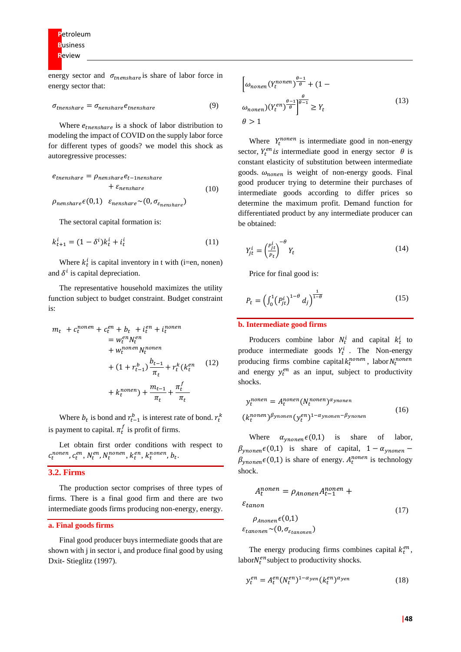energy sector and  $\sigma_{tnenshare}$  is share of labor force in energy sector that:

$$
\sigma_{tnenshare} = \sigma_{nenshare} e_{tnenshare} \tag{9}
$$

Where  $e_{t n en share}$  is a shock of labor distribution to modeling the impact of COVID on the supply labor force for different types of goods? we model this shock as autoregressive processes:

$$
e_{tnenshare} = \rho_{nenshare} e_{t-1nenshare} + \varepsilon_{nenshare}
$$
 (10)

 $\rho_{nenshare}\epsilon(0.1)$   $\varepsilon_{nenshare}\!\sim\!(0,\sigma_{\varepsilon_{nenshare}})$ 

The sectoral capital formation is:

$$
k_{t+1}^{i} = (1 - \delta^{i})k_{t}^{i} + i_{t}^{i}
$$
 (11)

Where  $k_t^i$  is capital inventory in t with (i=en, nonen) and  $\delta^i$  is capital depreciation.

The representative household maximizes the utility function subject to budget constraint. Budget constraint is:

$$
m_t + c_t^{nonen} + c_t^{en} + b_t + i_t^{en} + i_t^{nonen}
$$
  
=  $w_t^{en} N_t^{en}$   
+  $w_t^{nonen} N_t^{nonen}$   
+  $(1 + r_{t-1}^b) \frac{b_{t-1}}{\pi_t} + r_t^k (k_t^{en}$  (12)  
+  $k_t^{nonen}) + \frac{m_{t-1}}{\pi_t} + \frac{\pi_t^f}{\pi_t}$ 

Where  $b_t$  is bond and  $r_{t-1}^b$  is interest rate of bond.  $r_t^k$ is payment to capital.  $\pi_t^f$  is profit of firms.

Let obtain first order conditions with respect to  $c_t^{nonen}, c_t^{en}, N_t^{en}, N_t^{nonen}, k_t^{en}, k_t^{nonen}, b_t$ .

#### **3.2. Firms**

The production sector comprises of three types of firms. There is a final good firm and there are two intermediate goods firms producing non-energy, energy.

#### **a. Final goods firms**

Final good producer buys intermediate goods that are shown with j in sector i, and produce final good by using Dxit- Stieglitz (1997).

$$
\left[\omega_{nonen}(Y_t^{nonen})\frac{\theta-1}{\theta} + (1-\omega_{nonen})(Y_t^{en})\frac{\theta-1}{\theta}\right]_{\theta-1}^{\theta-1} \ge Y_t
$$
\n
$$
\theta > 1
$$
\n(13)

Where  $Y_t^{nonen}$  is intermediate good in non-energy sector,  $Y_t^{en}$  is intermediate good in energy sector  $\theta$  is constant elasticity of substitution between intermediate goods.  $\omega_{nonen}$  is weight of non-energy goods. Final good producer trying to determine their purchases of intermediate goods according to differ prices so determine the maximum profit. Demand function for differentiated product by any intermediate producer can be obtained:

$$
Y_{jt}^i = \left(\frac{P_{jt}^i}{P_t}\right)^{-\theta} Y_t \tag{14}
$$

Price for final good is:

$$
P_t = \left(\int_0^1 (P_{jt}^i)^{1-\theta} \, d_j\right)^{\frac{1}{1-\theta}} \tag{15}
$$

# **b. Intermediate good firms**

Producers combine labor  $N_t^i$  and capital  $k_t^i$  to produce intermediate goods  $Y_t^i$ . The Non-energy producing firms combine capital  $k_t^{nonen}$ , labor  $N_t^{nonen}$ and energy  $y_t^{en}$  as an input, subject to productivity shocks.

$$
y_t^{nonen} = A_t^{nonen} (N_t^{nonen})^{\alpha_{ynonen}}
$$
  

$$
(k_t^{nonen})^{\beta_{ynonen}} (y_t^{en})^{1-\alpha_{ynonen}-\beta_{ynonen}}
$$
 (16)

Where  $\alpha_{\text{ynonen}} \in (0,1)$  is share of labor,  $\beta_{\text{ynonen}} \in (0,1)$  is share of capital,  $1 - \alpha_{\text{ynonen}} \beta_{\text{ynonen}} \epsilon(0,1)$  is share of energy.  $A_t^{\text{nonen}}$  is technology shock.

 $\varepsilon_i$ 

$$
A_t^{nonen} = \rho_{Anonen} A_{t-1}^{nonen} +
$$
  
\n
$$
\varepsilon_{tanon}
$$
  
\n
$$
\rho_{Anonen} \in (0, 1)
$$
  
\n
$$
\varepsilon_{tanonen} \sim (0, \sigma_{etannon})
$$
  
\n(17)

The energy producing firms combines capital  $k_t^{en}$ , labor $N_t^{en}$ subject to productivity shocks.

$$
y_t^{en} = A_t^{en} (N_t^{en})^{1-\alpha} y_{en} (k_t^{en})^{\alpha} y_{en}
$$
\n
$$
(18)
$$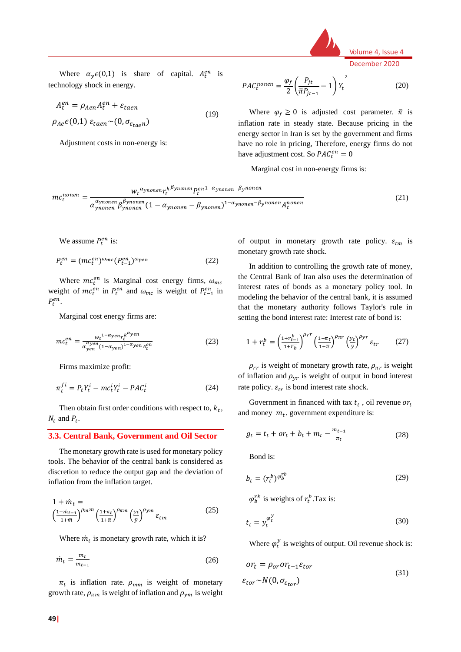

Where  $\alpha_y \in (0,1)$  is share of capital.  $A_t^{en}$  is technology shock in energy.

$$
A_t^{en} = \rho_{Aen} A_t^{en} + \varepsilon_{taen}
$$
  
\n
$$
\rho_{Ae} \epsilon(0,1) \varepsilon_{taen} \sim (0, \sigma_{\varepsilon_{tae}n})
$$
\n(19)

Adjustment costs in non-energy is:

$$
PAC_t^{nonen} = \frac{\varphi_f}{2} \left( \frac{P_{jt}}{\bar{\pi} P_{jt-1}} - 1 \right) Y_t^2 \tag{20}
$$

Where  $\varphi_f \geq 0$  is adjusted cost parameter.  $\bar{\pi}$  is inflation rate in steady state. Because pricing in the energy sector in Iran is set by the government and firms have no role in pricing, Therefore, energy firms do not have adjustment cost. So  $PAC_t^{en} = 0$ 

Marginal cost in non-energy firms is:

$$
mc_t^{nonen} = \frac{W_t^{\alpha_{ynonen}} r_t^{k\beta_{ynonen}} P_t^{en1-\alpha_{ynonen}-\beta_{ynonen}}}{\alpha_{ynonen}^{\alpha_{ynonen}} \beta_{ynonen}^{p_{ynonen}} (1-\alpha_{ynonen}-\beta_{ynonen})^{1-\alpha_{ynonen}-\beta_{ynonen}} A_t^{nonen}}
$$
(21)

We assume  $P_t^{en}$  is:

$$
P_t^{en} = (mc_t^{en})^{\omega_{mc}} (P_{t-1}^{en})^{\omega_{pen}} \tag{22}
$$

Where  $mc_t^{en}$  is Marginal cost energy firms,  $\omega_{mc}$ weight of  $mc_t^{en}$  in  $P_t^{en}$  and  $\omega_{mc}$  is weight of  $P_{t-1}^{en}$  in  $P_t^{en}$ .

Marginal cost energy firms are:

$$
mc_t^{en} = \frac{{w_t}^{1-\alpha_{yen}}r_t^{k^{\alpha_{yen}}}}{\alpha_{yen}^{q_{yen}}(1-\alpha_{yen})^{1-\alpha_{yen}}A_t^{en}}
$$
(23)

Firms maximize profit:

$$
\pi_t^{fi} = P_t Y_t^i - mc_t^i Y_t^i - P A C_t^i \tag{24}
$$

Then obtain first order conditions with respect to,  $k_t$ ,  $N_t$  and  $P_t$ .

#### **3.3. Central Bank, Government and Oil Sector**

The monetary growth rate is used for monetary policy tools. The behavior of the central bank is considered as discretion to reduce the output gap and the deviation of inflation from the inflation target.

$$
1 + \dot{m}_t = \left(\frac{1 + \dot{m}_{t-1}}{1 + \overline{m}}\right)^{\rho_m m} \left(\frac{1 + \pi_t}{1 + \overline{\pi}}\right)^{\rho_m m} \left(\frac{y_t}{\overline{y}}\right)^{\rho_{ym}} \varepsilon_{tm}
$$
\n(25)

Where  $\dot{m}_t$  is monetary growth rate, which it is?

$$
\dot{m}_t = \frac{m_t}{m_{t-1}}\tag{26}
$$

 $\pi_t$  is inflation rate.  $\rho_{mm}$  is weight of monetary growth rate,  $\rho_{\pi m}$  is weight of inflation and  $\rho_{\nu m}$  is weight

of output in monetary growth rate policy.  $\varepsilon_{tm}$  is monetary growth rate shock.

In addition to controlling the growth rate of money, the Central Bank of Iran also uses the determination of interest rates of bonds as a monetary policy tool. In modeling the behavior of the central bank, it is assumed that the monetary authority follows Taylor's rule in setting the bond interest rate: Interest rate of bond is:

$$
1 + r_t^b = \left(\frac{1 + r_{t-1}^b}{1 + \overline{r_b}}\right)^{\rho_r r} \left(\frac{1 + \pi_t}{1 + \overline{\pi}}\right)^{\rho_{\pi r}} \left(\frac{y_t}{\overline{y}}\right)^{\rho_{\gamma r}} \varepsilon_{tr} \tag{27}
$$

 $\rho_{rr}$  is weight of monetary growth rate,  $\rho_{\pi r}$  is weight of inflation and  $\rho_{yr}$  is weight of output in bond interest rate policy.  $\varepsilon_{tr}$  is bond interest rate shock.

Government in financed with tax  $t_t$ , oil revenue  $or_t$ and money  $m_t$ . government expenditure is:

$$
g_t = t_t + or_t + b_t + m_t - \frac{m_{t-1}}{\pi_t}
$$
 (28)

Bond is:

$$
b_t = (r_t^b)^{\varphi_b^{rb}} \tag{29}
$$

 $\varphi_b^{rk}$  is weights of  $r_t^b$ . Tax is:

$$
t_t = y_t^{\varphi_t^Y} \tag{30}
$$

Where  $\varphi_t^y$  is weights of output. Oil revenue shock is:

$$
or_{t} = \rho_{or} or_{t-1} \varepsilon_{tor}
$$
  

$$
\varepsilon_{tor} \sim N(0, \sigma_{\varepsilon_{tor}})
$$
 (31)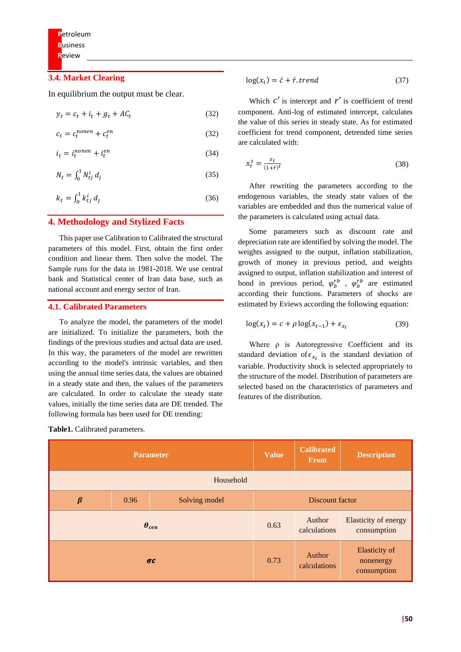# **3.4. Market Clearing**

In equilibrium the output must be clear.

$$
y_t = c_t + i_t + g_t + AC_t \tag{32}
$$

$$
c_t = c_t^{nonen} + c_t^{en} \tag{32}
$$

$$
i_t = i_t^{nonen} + i_t^{en} \tag{34}
$$

$$
N_t = \int_0^1 N_{tj}^i \, d_j \tag{35}
$$

$$
k_t = \int_0^1 k_{tj}^i \, d_j \tag{36}
$$

#### **4. Methodology and Stylized Facts**

This paper use Calibration to Calibrated the structural parameters of this model. First, obtain the first order condition and linear them. Then solve the model. The Sample runs for the data in 1981-2018. We use central bank and Statistical center of Iran data base, such as national account and energy sector of Iran.

#### **4.1. Calibrated Parameters**

To analyze the model, the parameters of the model are initialized. To initialize the parameters, both the findings of the previous studies and actual data are used. In this way, the parameters of the model are rewritten according to the model's intrinsic variables, and then using the annual time series data, the values are obtained in a steady state and then, the values of the parameters are calculated. In order to calculate the steady state values, initially the time series data are DE trended. The following formula has been used for DE trending:

$$
\log(x_t) = \acute{c} + \acute{r}.\text{trend} \tag{37}
$$

Which  $c'$  is intercept and  $r'$  is coefficient of trend component. Anti-log of estimated intercept, calculates the value of this series in steady state. As for estimated coefficient for trend component, detrended time series are calculated with:

$$
x_t^s = \frac{x_t}{(1+t)^t} \tag{38}
$$

After rewriting the parameters according to the endogenous variables, the steady state values of the variables are embedded and thus the numerical value of the parameters is calculated using actual data.

Some parameters such as discount rate and depreciation rate are identified by solving the model. The weights assigned to the output, inflation stabilization, growth of money in previous period, and weights assigned to output, inflation stabilization and interest of bond in previous period,  $\varphi_b^{rb}$ ,  $\varphi_b^{rb}$  are estimated according their functions. Parameters of shocks are estimated by Eviews according the following equation:

$$
\log(x_t) = c + \rho \log(x_{t-1}) + \epsilon_{x_t} \tag{39}
$$

Where ρ is Autoregressive Coefficient and its standard deviation of  $\epsilon_{x_t}$  is the standard deviation of variable. Productivity shock is selected appropriately to the structure of the model. Distribution of parameters are selected based on the characteristics of parameters and features of the distribution.

| <b>Parameter</b> |      |               | <b>Value</b>    | <b>Calibrated</b><br><b>From</b> | <b>Description</b>                               |  |
|------------------|------|---------------|-----------------|----------------------------------|--------------------------------------------------|--|
| Household        |      |               |                 |                                  |                                                  |  |
| $\beta$          | 0.96 | Solving model | Discount factor |                                  |                                                  |  |
| $\theta_{cen}$   |      |               | 0.63            | Author<br>calculations           | Elasticity of energy<br>consumption              |  |
| $\sigma c$       |      |               | 0.73            | Author<br>calculations           | <b>Elasticity</b> of<br>nonenergy<br>consumption |  |

**Table1.** Calibrated parameters.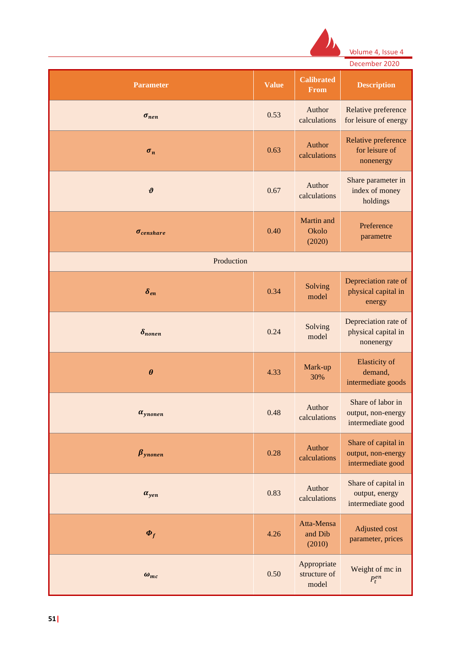

Volume 4 , Issue 4 December 2020

| <b>Parameter</b>      | <b>Value</b> | <b>Calibrated</b><br><b>From</b>     | <b>Description</b>                                             |  |  |
|-----------------------|--------------|--------------------------------------|----------------------------------------------------------------|--|--|
| $\sigma_{nen}$        | 0.53         | Author<br>calculations               | Relative preference<br>for leisure of energy                   |  |  |
| $\sigma_n$            | 0.63         | Author<br>calculations               | Relative preference<br>for leisure of<br>nonenergy             |  |  |
| $\pmb{\vartheta}$     | 0.67         | Author<br>calculations               | Share parameter in<br>index of money<br>holdings               |  |  |
| $\sigma_{censhare}$   | 0.40         | Martin and<br>Okolo<br>(2020)        | Preference<br>parametre                                        |  |  |
| Production            |              |                                      |                                                                |  |  |
| $\delta_{en}$         | 0.34         | Solving<br>model                     | Depreciation rate of<br>physical capital in<br>energy          |  |  |
| $\delta_{nonen}$      | 0.24         | Solving<br>model                     | Depreciation rate of<br>physical capital in<br>nonenergy       |  |  |
| $\pmb{\theta}$        | 4.33         | Mark-up<br>30%                       | Elasticity of<br>demand,<br>intermediate goods                 |  |  |
| $\alpha_{ynonen}$     | 0.48         | Author<br>calculations               | Share of labor in<br>output, non-energy<br>intermediate good   |  |  |
| $\beta$ ynonen        | 0.28         | Author<br>calculations               | Share of capital in<br>output, non-energy<br>intermediate good |  |  |
| $\alpha_{yen}$        | 0.83         | Author<br>calculations               | Share of capital in<br>output, energy<br>intermediate good     |  |  |
| $\boldsymbol{\Phi}_f$ | 4.26         | Atta-Mensa<br>and Dib<br>(2010)      | Adjusted cost<br>parameter, prices                             |  |  |
| $\omega_{mc}$         | 0.50         | Appropriate<br>structure of<br>model | Weight of mc in<br>$P_t^{en}$                                  |  |  |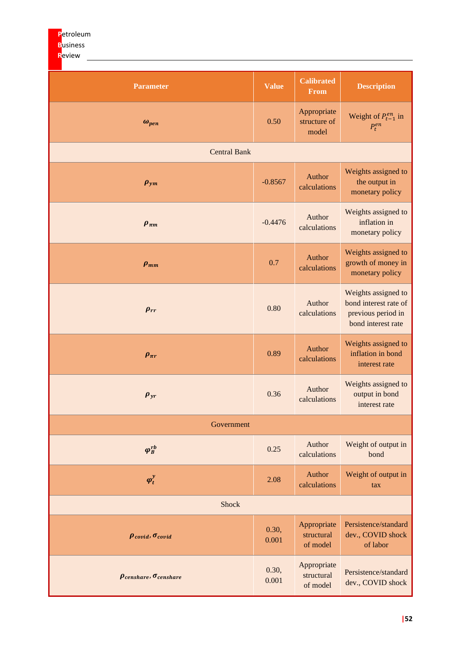**B**usiness **R**eview

| <b>Parameter</b>                                   | <b>Value</b>   | <b>Calibrated</b><br>From             | <b>Description</b>                                                                       |  |  |  |
|----------------------------------------------------|----------------|---------------------------------------|------------------------------------------------------------------------------------------|--|--|--|
| $\omega_{pen}$                                     | 0.50           | Appropriate<br>structure of<br>model  | Weight of $P_{t-1}^{en}$ in<br>$P_t^{en}$                                                |  |  |  |
| <b>Central Bank</b>                                |                |                                       |                                                                                          |  |  |  |
| $\rho_{ym}$                                        | $-0.8567$      | Author<br>calculations                | Weights assigned to<br>the output in<br>monetary policy                                  |  |  |  |
| $\rho_{\pi m}$                                     | $-0.4476$      | Author<br>calculations                | Weights assigned to<br>inflation in<br>monetary policy                                   |  |  |  |
| $\rho_{mm}$                                        | 0.7            | Author<br>calculations                | Weights assigned to<br>growth of money in<br>monetary policy                             |  |  |  |
| $\rho_{rr}$                                        | 0.80           | Author<br>calculations                | Weights assigned to<br>bond interest rate of<br>previous period in<br>bond interest rate |  |  |  |
| $\rho_{\pi r}$                                     | 0.89           | Author<br>calculations                | Weights assigned to<br>inflation in bond<br>interest rate                                |  |  |  |
| $\rho_{yr}$                                        | 0.36           | Author<br>calculations                | Weights assigned to<br>output in bond<br>interest rate                                   |  |  |  |
| Government                                         |                |                                       |                                                                                          |  |  |  |
| $\varphi_B^{rb}$                                   | 0.25           | Author<br>calculations                | Weight of output in<br>bond                                                              |  |  |  |
| $\varphi_t^y$                                      | 2.08           | Author<br>calculations                | Weight of output in<br>tax                                                               |  |  |  |
| Shock                                              |                |                                       |                                                                                          |  |  |  |
| $\rho_{covid}$ , $\sigma_{covid}$                  | 0.30,<br>0.001 | Appropriate<br>structural<br>of model | Persistence/standard<br>dev., COVID shock<br>of labor                                    |  |  |  |
| $\rho_{\text{censhare}}, \sigma_{\text{censhare}}$ | 0.30,<br>0.001 | Appropriate<br>structural<br>of model | Persistence/standard<br>dev., COVID shock                                                |  |  |  |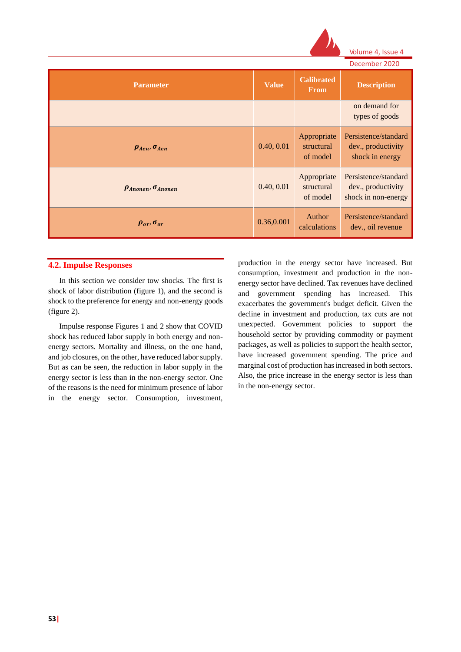

Volume 4, Issue December 2020

| <b>Parameter</b>                    | <b>Value</b> | <b>Calibrated</b><br><b>From</b>      | <b>Description</b>                                                |
|-------------------------------------|--------------|---------------------------------------|-------------------------------------------------------------------|
|                                     |              |                                       | on demand for<br>types of goods                                   |
| $\rho_{Aen}$ , $\sigma_{Aen}$       | 0.40, 0.01   | Appropriate<br>structural<br>of model | Persistence/standard<br>dev., productivity<br>shock in energy     |
| $\rho_{Anonen}$ , $\sigma_{Anonen}$ | 0.40, 0.01   | Appropriate<br>structural<br>of model | Persistence/standard<br>dev., productivity<br>shock in non-energy |
| $\rho_{or}, \sigma_{or}$            | 0.36,0.001   | Author<br>calculations                | Persistence/standard<br>dev., oil revenue                         |

# **4.2. Impulse Responses**

In this section we consider tow shocks. The first is shock of labor distribution (figure 1), and the second is shock to the preference for energy and non-energy goods (figure 2).

Impulse response Figures 1 and 2 show that COVID shock has reduced labor supply in both energy and nonenergy sectors. Mortality and illness, on the one hand, and job closures, on the other, have reduced labor supply. But as can be seen, the reduction in labor supply in the energy sector is less than in the non-energy sector. One of the reasons is the need for minimum presence of labor in the energy sector. Consumption, investment,

production in the energy sector have increased. But consumption, investment and production in the nonenergy sector have declined. Tax revenues have declined and government spending has increased. This exacerbates the government's budget deficit. Given the decline in investment and production, tax cuts are not unexpected. Government policies to support the household sector by providing commodity or payment packages, as well as policies to support the health sector, have increased government spending. The price and marginal cost of production has increased in both sectors. Also, the price increase in the energy sector is less than in the non-energy sector.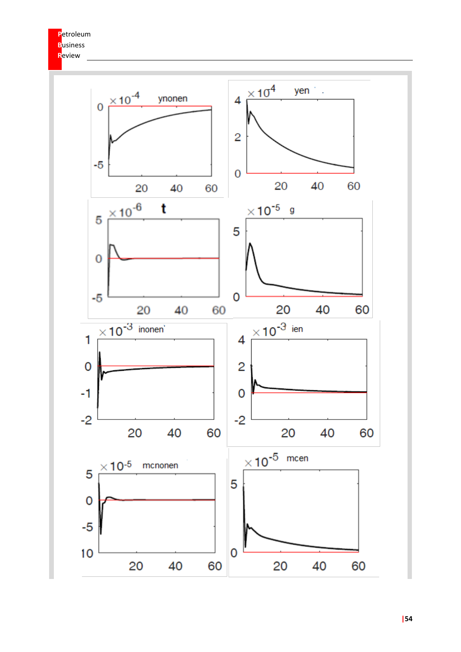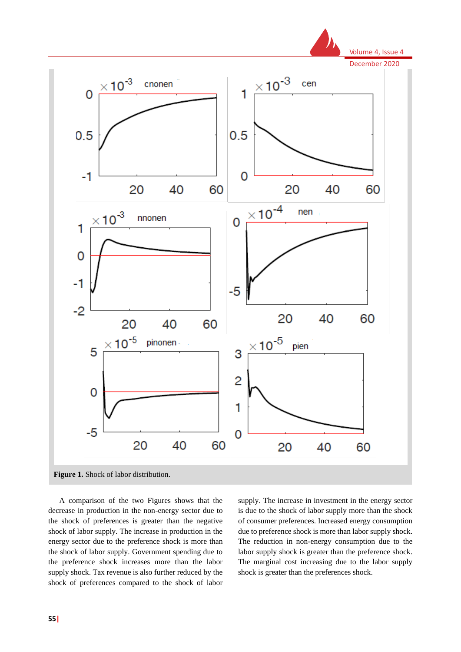

A comparison of the two Figures shows that the decrease in production in the non-energy sector due to the shock of preferences is greater than the negative shock of labor supply. The increase in production in the energy sector due to the preference shock is more than the shock of labor supply. Government spending due to the preference shock increases more than the labor supply shock. Tax revenue is also further reduced by the shock of preferences compared to the shock of labor supply. The increase in investment in the energy sector is due to the shock of labor supply more than the shock of consumer preferences. Increased energy consumption due to preference shock is more than labor supply shock. The reduction in non-energy consumption due to the labor supply shock is greater than the preference shock. The marginal cost increasing due to the labor supply shock is greater than the preferences shock.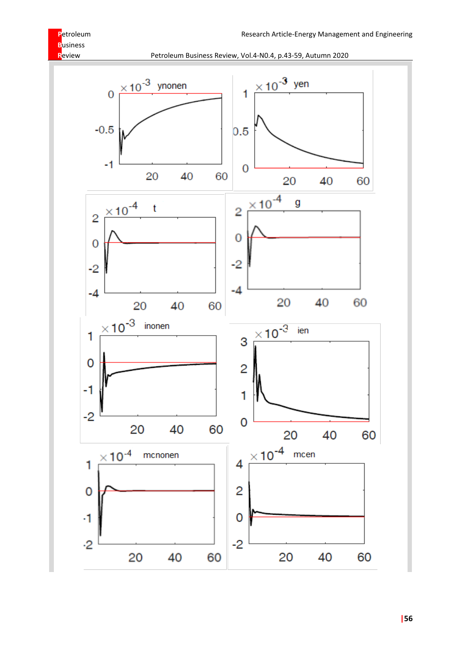

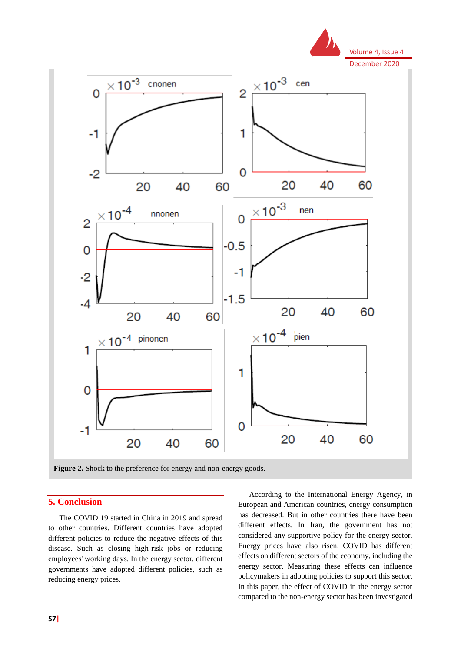

# **5. Conclusion**

The COVID 19 started in China in 2019 and spread to other countries. Different countries have adopted different policies to reduce the negative effects of this disease. Such as closing high-risk jobs or reducing employees' working days. In the energy sector, different governments have adopted different policies, such as reducing energy prices.

According to the International Energy Agency, in European and American countries, energy consumption has decreased. But in other countries there have been different effects. In Iran, the government has not considered any supportive policy for the energy sector. Energy prices have also risen. COVID has different effects on different sectors of the economy, including the energy sector. Measuring these effects can influence policymakers in adopting policies to support this sector. In this paper, the effect of COVID in the energy sector compared to the non-energy sector has been investigated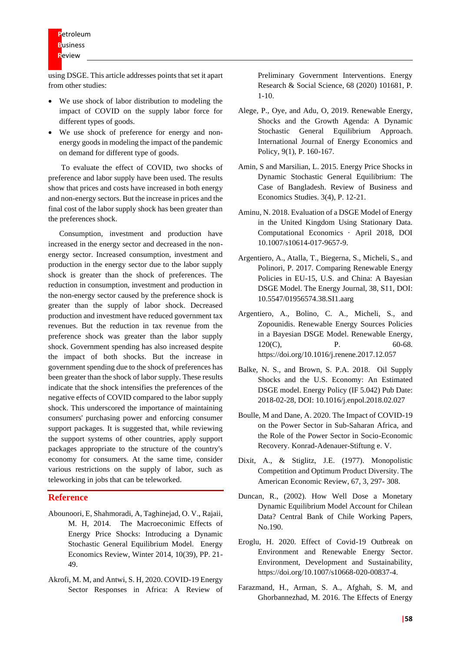using DSGE. This article addresses points that set it apart from other studies:

- We use shock of labor distribution to modeling the impact of COVID on the supply labor force for different types of goods.
- We use shock of preference for energy and nonenergy goods in modeling the impact of the pandemic on demand for different type of goods.

To evaluate the effect of COVID, two shocks of preference and labor supply have been used. The results show that prices and costs have increased in both energy and non-energy sectors. But the increase in prices and the final cost of the labor supply shock has been greater than the preferences shock.

Consumption, investment and production have increased in the energy sector and decreased in the nonenergy sector. Increased consumption, investment and production in the energy sector due to the labor supply shock is greater than the shock of preferences. The reduction in consumption, investment and production in the non-energy sector caused by the preference shock is greater than the supply of labor shock. Decreased production and investment have reduced government tax revenues. But the reduction in tax revenue from the preference shock was greater than the labor supply shock. Government spending has also increased despite the impact of both shocks. But the increase in government spending due to the shock of preferences has been greater than the shock of labor supply. These results indicate that the shock intensifies the preferences of the negative effects of COVID compared to the labor supply shock. This underscored the importance of maintaining consumers' purchasing power and enforcing consumer support packages. It is suggested that, while reviewing the support systems of other countries, apply support packages appropriate to the structure of the country's economy for consumers. At the same time, consider various restrictions on the supply of labor, such as teleworking in jobs that can be teleworked.

## **Reference**

- Abounoori, E, Shahmoradi, A, Taghinejad, O. V., Rajaii, M. H, 2014. The Macroeconimic Effects of Energy Price Shocks: Introducing a Dynamic Stochastic General Equilibrium Model. Energy Economics Review, Winter 2014, 10(39), PP. 21- 49.
- Akrofi, M. M, and Antwi, S. H, 2020. COVID-19 Energy Sector Responses in Africa: A Review of

Preliminary Government Interventions. Energy Research & Social Science, 68 (2020) 101681, P. 1-10.

- Alege, P., Oye, and Adu, O, 2019. Renewable Energy, Shocks and the Growth Agenda: A Dynamic Stochastic General Equilibrium Approach. International Journal of Energy Economics and Policy, 9(1), P. 160-167.
- Amin, S and Marsilian, L. 2015. Energy Price Shocks in Dynamic Stochastic General Equilibrium: The Case of Bangladesh. Review of Business and Economics Studies. 3(4), P. 12-21.
- Aminu, N. 2018. Evaluation of a DSGE Model of Energy in the United Kingdom Using Stationary Data. Computational Economics · April 2018, DOI 10.1007/s10614-017-9657-9.
- Argentiero, A., Atalla, T., Biegerna, S., Micheli, S., and Polinori, P. 2017. Comparing Renewable Energy Policies in EU-15, U.S. and China: A Bayesian DSGE Model. The Energy Journal, 38, S11, DOI: 10.5547/01956574.38.SI1.aarg
- Argentiero, A., Bolino, C. A., Micheli, S., and Zopounidis. Renewable Energy Sources Policies in a Bayesian DSGE Model. Renewable Energy, 120(C), P. 60-68. https://doi.org/10.1016/j.renene.2017.12.057
- Balke, N. S., and Brown, S. P.A. 2018. Oil Supply Shocks and the U.S. Economy: An Estimated DSGE model. Energy Policy (IF 5.042) Pub Date: 2018-02-28, DOI: 10.1016/j.enpol.2018.02.027
- Boulle, M and Dane, A. 2020. The Impact of COVID-19 on the Power Sector in Sub-Saharan Africa, and the Role of the Power Sector in Socio-Economic Recovery. Konrad-Adenauer-Stiftung e. V.
- Dixit, A., & Stiglitz, J.E. (1977). Monopolistic Competition and Optimum Product Diversity. The American Economic Review, 67, 3, 297- 308.
- Duncan, R., (2002). How Well Dose a Monetary Dynamic Equilibrium Model Account for Chilean Data? Central Bank of Chile Working Papers, No.190.
- Eroglu, H. 2020. Effect of Covid-19 Outbreak on Environment and Renewable Energy Sector. Environment, Development and Sustainability, https://doi.org/10.1007/s10668-020-00837-4.
- Farazmand, H., Arman, S. A., Afghah, S. M, and Ghorbannezhad, M. 2016. The Effects of Energy